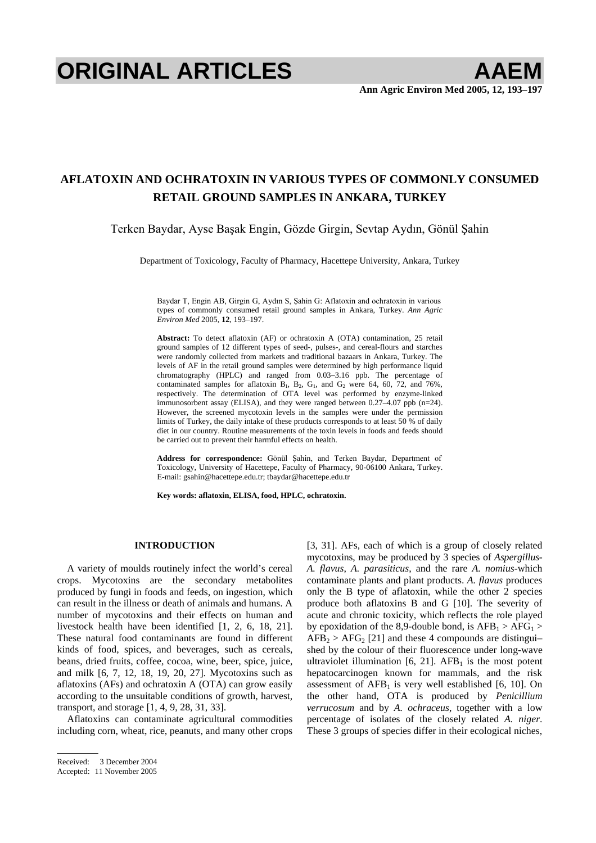# **ORIGINAL ARTICLES AAEM**

# **AFLATOXIN AND OCHRATOXIN IN VARIOUS TYPES OF COMMONLY CONSUMED RETAIL GROUND SAMPLES IN ANKARA, TURKEY**

Terken Baydar, Ayse Başak Engin, Gözde Girgin, Sevtap Aydın, Gönül Şahin

Department of Toxicology, Faculty of Pharmacy, Hacettepe University, Ankara, Turkey

Baydar T, Engin AB, Girgin G, Aydın S, Şahin G: Aflatoxin and ochratoxin in various types of commonly consumed retail ground samples in Ankara, Turkey. *Ann Agric Environ Med* 2005, **12**, 193–197.

**Abstract:** To detect aflatoxin (AF) or ochratoxin A (OTA) contamination, 25 retail ground samples of 12 different types of seed-, pulses-, and cereal-flours and starches were randomly collected from markets and traditional bazaars in Ankara, Turkey. The levels of AF in the retail ground samples were determined by high performance liquid chromatography (HPLC) and ranged from 0.03–3.16 ppb. The percentage of contaminated samples for aflatoxin  $B_1$ ,  $B_2$ ,  $G_1$ , and  $G_2$  were 64, 60, 72, and 76%, respectively. The determination of OTA level was performed by enzyme-linked immunosorbent assay (ELISA), and they were ranged between 0.27–4.07 ppb (n=24). However, the screened mycotoxin levels in the samples were under the permission limits of Turkey, the daily intake of these products corresponds to at least 50 % of daily diet in our country. Routine measurements of the toxin levels in foods and feeds should be carried out to prevent their harmful effects on health.

Address for correspondence: Gönül Sahin, and Terken Baydar, Department of Toxicology, University of Hacettepe, Faculty of Pharmacy, 90-06100 Ankara, Turkey. E-mail: gsahin@hacettepe.edu.tr; tbaydar@hacettepe.edu.tr

**Key words: aflatoxin, ELISA, food, HPLC, ochratoxin.** 

# **INTRODUCTION**

A variety of moulds routinely infect the world's cereal crops. Mycotoxins are the secondary metabolites produced by fungi in foods and feeds, on ingestion, which can result in the illness or death of animals and humans. A number of mycotoxins and their effects on human and livestock health have been identified [1, 2, 6, 18, 21]. These natural food contaminants are found in different kinds of food, spices, and beverages, such as cereals, beans, dried fruits, coffee, cocoa, wine, beer, spice, juice, and milk [6, 7, 12, 18, 19, 20, 27]. Mycotoxins such as aflatoxins (AFs) and ochratoxin A (OTA) can grow easily according to the unsuitable conditions of growth, harvest, transport, and storage [1, 4, 9, 28, 31, 33].

Aflatoxins can contaminate agricultural commodities including corn, wheat, rice, peanuts, and many other crops [3, 31]. AFs, each of which is a group of closely related mycotoxins, may be produced by 3 species of *Aspergillus*-*A. flavus*, *A. parasiticus*, and the rare *A. nomius*-which contaminate plants and plant products. *A. flavus* produces only the B type of aflatoxin, while the other 2 species produce both aflatoxins B and G [10]. The severity of acute and chronic toxicity, which reflects the role played by epoxidation of the 8,9-double bond, is  $AFB<sub>1</sub> > AFG<sub>1</sub>$  $AFB<sub>2</sub> > AFG<sub>2</sub>$  [21] and these 4 compounds are distingui– shed by the colour of their fluorescence under long-wave ultraviolet illumination  $[6, 21]$ . AFB<sub>1</sub> is the most potent hepatocarcinogen known for mammals, and the risk assessment of  $AFB<sub>1</sub>$  is very well established [6, 10]. On the other hand, OTA is produced by *Penicillium verrucosum* and by *A. ochraceus*, together with a low percentage of isolates of the closely related *A. niger*. These 3 groups of species differ in their ecological niches,

Received: 3 December 2004

Accepted: 11 November 2005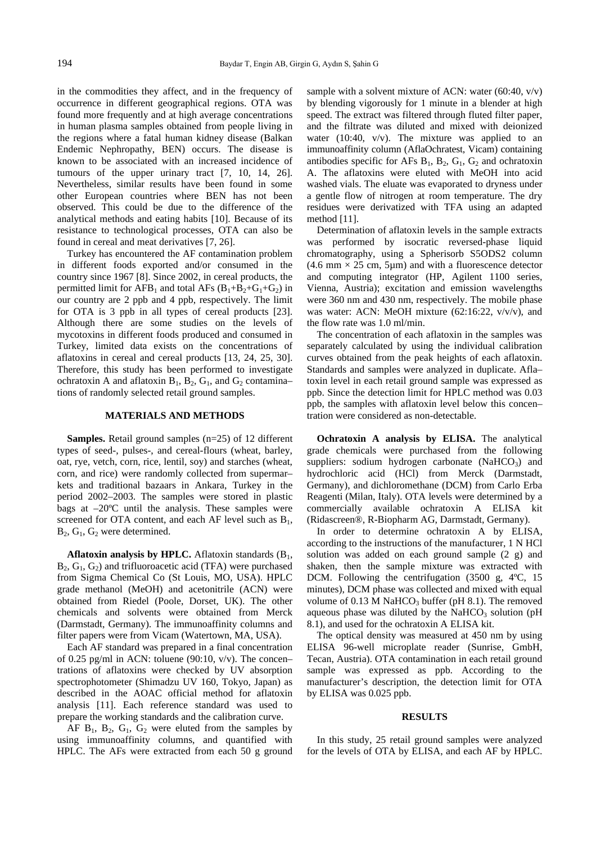in the commodities they affect, and in the frequency of occurrence in different geographical regions. OTA was found more frequently and at high average concentrations in human plasma samples obtained from people living in the regions where a fatal human kidney disease (Balkan Endemic Nephropathy, BEN) occurs. The disease is known to be associated with an increased incidence of tumours of the upper urinary tract [7, 10, 14, 26]. Nevertheless, similar results have been found in some other European countries where BEN has not been observed. This could be due to the difference of the analytical methods and eating habits [10]. Because of its resistance to technological processes, OTA can also be found in cereal and meat derivatives [7, 26].

Turkey has encountered the AF contamination problem in different foods exported and/or consumed in the country since 1967 [8]. Since 2002, in cereal products, the permitted limit for  $AFB_1$  and total  $AFs$  ( $B_1+B_2+G_1+G_2$ ) in our country are 2 ppb and 4 ppb, respectively. The limit for OTA is 3 ppb in all types of cereal products [23]. Although there are some studies on the levels of mycotoxins in different foods produced and consumed in Turkey, limited data exists on the concentrations of aflatoxins in cereal and cereal products [13, 24, 25, 30]. Therefore, this study has been performed to investigate ochratoxin A and aflatoxin  $B_1$ ,  $B_2$ ,  $G_1$ , and  $G_2$  contamina– tions of randomly selected retail ground samples.

## **MATERIALS AND METHODS**

**Samples.** Retail ground samples (n=25) of 12 different types of seed-, pulses-, and cereal-flours (wheat, barley, oat, rye, vetch, corn, rice, lentil, soy) and starches (wheat, corn, and rice) were randomly collected from supermar– kets and traditional bazaars in Ankara, Turkey in the period 2002–2003. The samples were stored in plastic bags at  $-20^{\circ}$ C until the analysis. These samples were screened for OTA content, and each AF level such as  $B_1$ ,  $B_2$ ,  $G_1$ ,  $G_2$  were determined.

**Aflatoxin analysis by HPLC.** Aflatoxin standards  $(B_1,$  $B_2$ ,  $G_1$ ,  $G_2$ ) and trifluoroacetic acid (TFA) were purchased from Sigma Chemical Co (St Louis, MO, USA). HPLC grade methanol (MeOH) and acetonitrile (ACN) were obtained from Riedel (Poole, Dorset, UK). The other chemicals and solvents were obtained from Merck (Darmstadt, Germany). The immunoaffinity columns and filter papers were from Vicam (Watertown, MA, USA).

Each AF standard was prepared in a final concentration of 0.25 pg/ml in ACN: toluene (90:10, v/v). The concen– trations of aflatoxins were checked by UV absorption spectrophotometer (Shimadzu UV 160, Tokyo, Japan) as described in the AOAC official method for aflatoxin analysis [11]. Each reference standard was used to prepare the working standards and the calibration curve.

AF  $B_1$ ,  $B_2$ ,  $G_1$ ,  $G_2$  were eluted from the samples by using immunoaffinity columns, and quantified with HPLC. The AFs were extracted from each 50 g ground sample with a solvent mixture of ACN: water (60:40, v/v) by blending vigorously for 1 minute in a blender at high speed. The extract was filtered through fluted filter paper, and the filtrate was diluted and mixed with deionized water (10:40,  $v/v$ ). The mixture was applied to an immunoaffinity column (AflaOchratest, Vicam) containing antibodies specific for AFs  $B_1$ ,  $B_2$ ,  $G_1$ ,  $G_2$  and ochratoxin A. The aflatoxins were eluted with MeOH into acid washed vials. The eluate was evaporated to dryness under a gentle flow of nitrogen at room temperature. The dry residues were derivatized with TFA using an adapted method [11].

Determination of aflatoxin levels in the sample extracts was performed by isocratic reversed-phase liquid chromatography, using a Spherisorb S5ODS2 column  $(4.6 \text{ mm} \times 25 \text{ cm}, 5 \mu \text{m})$  and with a fluorescence detector and computing integrator (HP, Agilent 1100 series, Vienna, Austria); excitation and emission wavelengths were 360 nm and 430 nm, respectively. The mobile phase was water: ACN: MeOH mixture (62:16:22, v/v/v), and the flow rate was 1.0 ml/min.

The concentration of each aflatoxin in the samples was separately calculated by using the individual calibration curves obtained from the peak heights of each aflatoxin. Standards and samples were analyzed in duplicate. Afla– toxin level in each retail ground sample was expressed as ppb. Since the detection limit for HPLC method was 0.03 ppb, the samples with aflatoxin level below this concen– tration were considered as non-detectable.

**Ochratoxin A analysis by ELISA.** The analytical grade chemicals were purchased from the following suppliers: sodium hydrogen carbonate  $(NaHCO<sub>3</sub>)$  and hydrochloric acid (HCl) from Merck (Darmstadt, Germany), and dichloromethane (DCM) from Carlo Erba Reagenti (Milan, Italy). OTA levels were determined by a commercially available ochratoxin A ELISA kit (Ridascreen®, R-Biopharm AG, Darmstadt, Germany).

In order to determine ochratoxin A by ELISA, according to the instructions of the manufacturer, 1 N HCl solution was added on each ground sample (2 g) and shaken, then the sample mixture was extracted with DCM. Following the centrifugation (3500 g, 4ºC, 15 minutes), DCM phase was collected and mixed with equal volume of  $0.13$  M NaHCO<sub>3</sub> buffer (pH 8.1). The removed aqueous phase was diluted by the NaHCO<sub>3</sub> solution (pH) 8.1), and used for the ochratoxin A ELISA kit.

The optical density was measured at 450 nm by using ELISA 96-well microplate reader (Sunrise, GmbH, Tecan, Austria). OTA contamination in each retail ground sample was expressed as ppb. According to the manufacturer's description, the detection limit for OTA by ELISA was 0.025 ppb.

# **RESULTS**

In this study, 25 retail ground samples were analyzed for the levels of OTA by ELISA, and each AF by HPLC.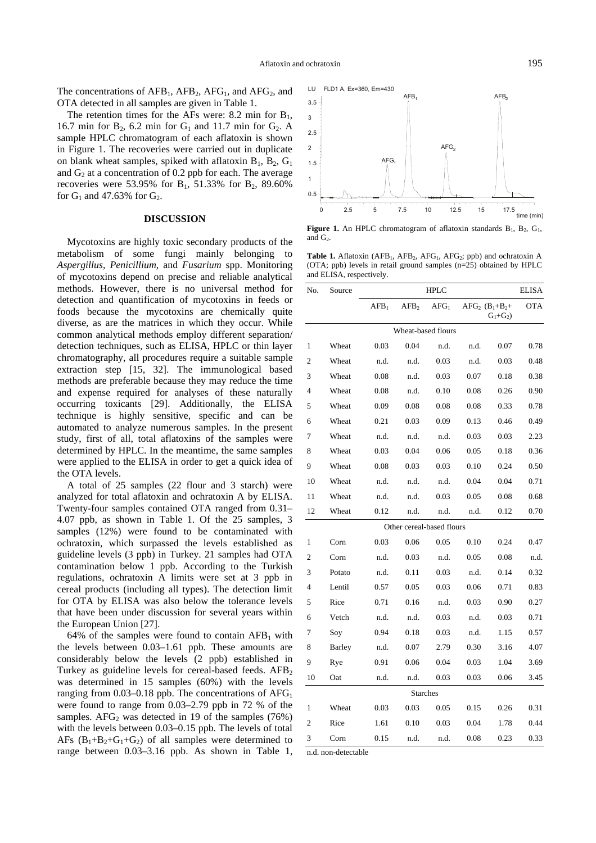The concentrations of  $AFB_1$ ,  $AFB_2$ ,  $AFG_1$ , and  $AFG_2$ , and OTA detected in all samples are given in Table 1.

The retention times for the AFs were: 8.2 min for  $B_1$ , 16.7 min for  $B_2$ , 6.2 min for  $G_1$  and 11.7 min for  $G_2$ . A sample HPLC chromatogram of each aflatoxin is shown in Figure 1. The recoveries were carried out in duplicate on blank wheat samples, spiked with aflatoxin  $B_1$ ,  $B_2$ ,  $G_1$ and  $G<sub>2</sub>$  at a concentration of 0.2 ppb for each. The average recoveries were 53.95% for  $B_1$ , 51.33% for  $B_2$ , 89.60% for  $G_1$  and 47.63% for  $G_2$ .

# **DISCUSSION**

Mycotoxins are highly toxic secondary products of the metabolism of some fungi mainly belonging to *Aspergillus*, *Penicillium*, and *Fusarium* spp. Monitoring of mycotoxins depend on precise and reliable analytical methods. However, there is no universal method for detection and quantification of mycotoxins in feeds or foods because the mycotoxins are chemically quite diverse, as are the matrices in which they occur. While common analytical methods employ different separation/ detection techniques, such as ELISA, HPLC or thin layer chromatography, all procedures require a suitable sample extraction step [15, 32]. The immunological based methods are preferable because they may reduce the time and expense required for analyses of these naturally occurring toxicants [29]. Additionally, the ELISA technique is highly sensitive, specific and can be automated to analyze numerous samples. In the present study, first of all, total aflatoxins of the samples were determined by HPLC. In the meantime, the same samples were applied to the ELISA in order to get a quick idea of the OTA levels.

A total of 25 samples (22 flour and 3 starch) were analyzed for total aflatoxin and ochratoxin A by ELISA. Twenty-four samples contained OTA ranged from 0.31– 4.07 ppb, as shown in Table 1. Of the 25 samples, 3 samples (12%) were found to be contaminated with ochratoxin, which surpassed the levels established as guideline levels (3 ppb) in Turkey. 21 samples had OTA contamination below 1 ppb. According to the Turkish regulations, ochratoxin A limits were set at 3 ppb in cereal products (including all types). The detection limit for OTA by ELISA was also below the tolerance levels that have been under discussion for several years within the European Union [27].

64% of the samples were found to contain  $AFB<sub>1</sub>$  with the levels between 0.03–1.61 ppb. These amounts are considerably below the levels (2 ppb) established in Turkey as guideline levels for cereal-based feeds.  $AFB<sub>2</sub>$ was determined in 15 samples (60%) with the levels ranging from  $0.03-0.18$  ppb. The concentrations of  $AFG<sub>1</sub>$ were found to range from 0.03–2.79 ppb in 72 % of the samples.  $AFG_2$  was detected in 19 of the samples (76%) with the levels between 0.03–0.15 ppb. The levels of total AFs  $(B_1+B_2+G_1+G_2)$  of all samples were determined to range between 0.03–3.16 ppb. As shown in Table 1,



**Figure 1.** An HPLC chromatogram of aflatoxin standards  $B_1$ ,  $B_2$ ,  $G_1$ , and  $G<sub>2</sub>$ .

Table 1. Aflatoxin (AFB<sub>1</sub>, AFB<sub>2</sub>, AFG<sub>1</sub>, AFG<sub>2</sub>; ppb) and ochratoxin A (OTA; ppb) levels in retail ground samples (n=25) obtained by HPLC and ELISA, respectively.

| No.            | Source | <b>HPLC</b>      |                           |                  |      |                                    | <b>ELISA</b> |
|----------------|--------|------------------|---------------------------|------------------|------|------------------------------------|--------------|
|                |        | AFB <sub>1</sub> | AFB <sub>2</sub>          | AFG <sub>1</sub> |      | $AFG_2$ $(B_1+B_2+$<br>$G_1 + G_2$ | <b>OTA</b>   |
|                |        |                  | Wheat-based flours        |                  |      |                                    |              |
| 1              | Wheat  | 0.03             | 0.04                      | n.d.             | n.d. | 0.07                               | 0.78         |
| $\overline{2}$ | Wheat  | n.d.             | n.d.                      | 0.03             | n.d. | 0.03                               | 0.48         |
| 3              | Wheat  | 0.08             | n.d.                      | 0.03             | 0.07 | 0.18                               | 0.38         |
| 4              | Wheat  | 0.08             | n.d.                      | 0.10             | 0.08 | 0.26                               | 0.90         |
| 5              | Wheat  | 0.09             | 0.08                      | 0.08             | 0.08 | 0.33                               | 0.78         |
| 6              | Wheat  | 0.21             | 0.03                      | 0.09             | 0.13 | 0.46                               | 0.49         |
| 7              | Wheat  | n.d.             | n.d.                      | n.d.             | 0.03 | 0.03                               | 2.23         |
| 8              | Wheat  | 0.03             | 0.04                      | 0.06             | 0.05 | 0.18                               | 0.36         |
| 9              | Wheat  | 0.08             | 0.03                      | 0.03             | 0.10 | 0.24                               | 0.50         |
| 10             | Wheat  | n.d.             | n.d.                      | n.d.             | 0.04 | 0.04                               | 0.71         |
| 11             | Wheat  | n.d.             | n.d.                      | 0.03             | 0.05 | 0.08                               | 0.68         |
| 12             | Wheat  | 0.12             | n.d.                      | n.d.             | n.d. | 0.12                               | 0.70         |
|                |        |                  | Other cereal-based flours |                  |      |                                    |              |
| 1              | Corn   | 0.03             | 0.06                      | 0.05             | 0.10 | 0.24                               | 0.47         |
| $\overline{2}$ | Corn   | n.d.             | 0.03                      | n.d.             | 0.05 | 0.08                               | n.d.         |
| 3              | Potato | n.d.             | 0.11                      | 0.03             | n.d. | 0.14                               | 0.32         |
| 4              | Lentil | 0.57             | 0.05                      | 0.03             | 0.06 | 0.71                               | 0.83         |
| 5              | Rice   | 0.71             | 0.16                      | n.d.             | 0.03 | 0.90                               | 0.27         |
| 6              | Vetch  | n.d.             | n.d.                      | 0.03             | n.d. | 0.03                               | 0.71         |
| 7              | Soy    | 0.94             | 0.18                      | 0.03             | n.d. | 1.15                               | 0.57         |
| 8              | Barley | n.d.             | 0.07                      | 2.79             | 0.30 | 3.16                               | 4.07         |
| 9              | Rye    | 0.91             | 0.06                      | 0.04             | 0.03 | 1.04                               | 3.69         |
| 10             | Oat    | n.d.             | n.d.                      | 0.03             | 0.03 | 0.06                               | 3.45         |
|                |        |                  | <b>Starches</b>           |                  |      |                                    |              |
| 1              | Wheat  | 0.03             | 0.03                      | 0.05             | 0.15 | 0.26                               | 0.31         |
| $\overline{c}$ | Rice   | 1.61             | 0.10                      | 0.03             | 0.04 | 1.78                               | 0.44         |
| 3              | Corn   | 0.15             | n.d.                      | n.d.             | 0.08 | 0.23                               | 0.33         |

n.d. non-detectable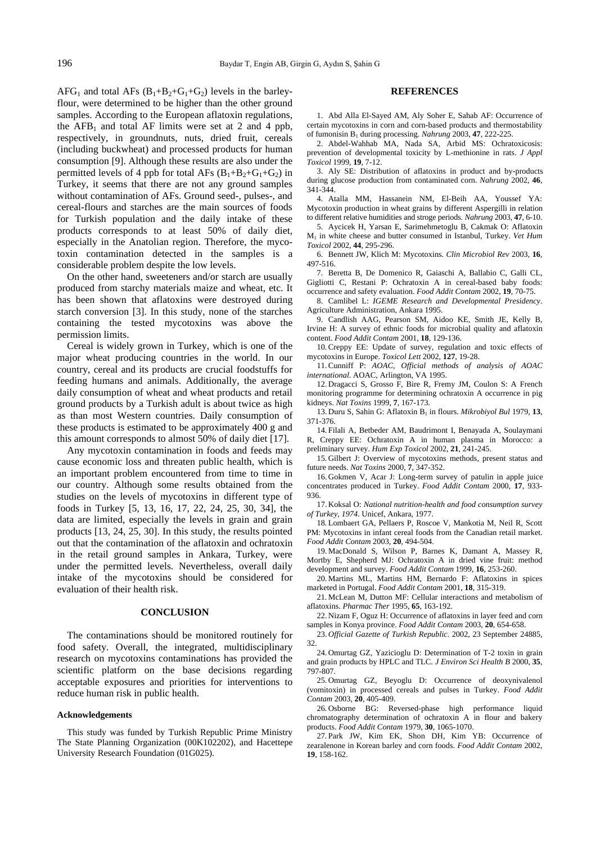$AFG_1$  and total  $AFs$   $(B_1+B_2+G_1+G_2)$  levels in the barleyflour, were determined to be higher than the other ground samples. According to the European aflatoxin regulations, the  $AFB<sub>1</sub>$  and total AF limits were set at 2 and 4 ppb, respectively, in groundnuts, nuts, dried fruit, cereals (including buckwheat) and processed products for human consumption [9]. Although these results are also under the permitted levels of 4 ppb for total AFs  $(B_1+B_2+G_1+G_2)$  in Turkey, it seems that there are not any ground samples without contamination of AFs. Ground seed-, pulses-, and cereal-flours and starches are the main sources of foods for Turkish population and the daily intake of these products corresponds to at least 50% of daily diet, especially in the Anatolian region. Therefore, the mycotoxin contamination detected in the samples is a considerable problem despite the low levels.

On the other hand, sweeteners and/or starch are usually produced from starchy materials maize and wheat, etc. It has been shown that aflatoxins were destroyed during starch conversion [3]. In this study, none of the starches containing the tested mycotoxins was above the permission limits.

Cereal is widely grown in Turkey, which is one of the major wheat producing countries in the world. In our country, cereal and its products are crucial foodstuffs for feeding humans and animals. Additionally, the average daily consumption of wheat and wheat products and retail ground products by a Turkish adult is about twice as high as than most Western countries. Daily consumption of these products is estimated to be approximately 400 g and this amount corresponds to almost 50% of daily diet [17].

Any mycotoxin contamination in foods and feeds may cause economic loss and threaten public health, which is an important problem encountered from time to time in our country. Although some results obtained from the studies on the levels of mycotoxins in different type of foods in Turkey [5, 13, 16, 17, 22, 24, 25, 30, 34], the data are limited, especially the levels in grain and grain products [13, 24, 25, 30]. In this study, the results pointed out that the contamination of the aflatoxin and ochratoxin in the retail ground samples in Ankara, Turkey, were under the permitted levels. Nevertheless, overall daily intake of the mycotoxins should be considered for evaluation of their health risk.

#### **CONCLUSION**

The contaminations should be monitored routinely for food safety. Overall, the integrated, multidisciplinary research on mycotoxins contaminations has provided the scientific platform on the base decisions regarding acceptable exposures and priorities for interventions to reduce human risk in public health.

#### **Acknowledgements**

This study was funded by Turkish Republic Prime Ministry The State Planning Organization (00K102202), and Hacettepe University Research Foundation (01G025).

### **REFERENCES**

1. Abd Alla El-Sayed AM, Aly Soher E, Sahab AF: Occurrence of certain mycotoxins in corn and corn-based products and thermostability of fumonisin B1 during processing. *Nahrung* 2003, **47**, 222-225.

2. Abdel-Wahhab MA, Nada SA, Arbid MS: Ochratoxicosis: prevention of developmental toxicity by L-methionine in rats. *J Appl Toxicol* 1999, **19**, 7-12.

3. Aly SE: Distribution of aflatoxins in product and by-products during glucose production from contaminated corn. *Nahrung* 2002, **46**, 341-344.

4. Atalla MM, Hassanein NM, El-Beih AA, Youssef YA: Mycotoxin production in wheat grains by different Aspergilli in relation to different relative humidities and stroge periods. *Nahrung* 2003, **47**, 6-10.

5. Aycicek H, Yarsan E, Sarimehmetoglu B, Cakmak O: Aflatoxin M1 in white cheese and butter consumed in Istanbul, Turkey. *Vet Hum Toxicol* 2002, **44**, 295-296.

6. Bennett JW, Klich M: Mycotoxins. *Clin Microbiol Rev* 2003, **16**, 497-516.

7. Beretta B, De Domenico R, Gaiaschi A, Ballabio C, Galli CL, Gigliotti C, Restani P: Ochratoxin A in cereal-based baby foods: occurrence and safety evaluation. *Food Addit Contam* 2002, **19**, 70-75.

8. Camlibel L: *IGEME Research and Developmental Presidency*. Agriculture Administration, Ankara 1995.

9. Candlish AAG, Pearson SM, Aidoo KE, Smith JE, Kelly B, Irvine H: A survey of ethnic foods for microbial quality and aflatoxin content. *Food Addit Contam* 2001, **18**, 129-136.

10. Creppy EE: Update of survey, regulation and toxic effects of mycotoxins in Europe. *Toxicol Lett* 2002, **127**, 19-28.

11. Cunniff P: *AOAC, Official methods of analysis of AOAC international*. AOAC, Arlington, VA 1995.

12. Dragacci S, Grosso F, Bire R, Fremy JM, Coulon S: A French monitoring programme for determining ochratoxin A occurrence in pig kidneys. *Nat Toxins* 1999, **7**, 167-173.

13. Duru S, Sahin G: Aflatoxin B1 in flours. *Mikrobiyol Bul* 1979, **13**, 371-376.

14. Filali A, Betbeder AM, Baudrimont I, Benayada A, Soulaymani R, Creppy EE: Ochratoxin A in human plasma in Morocco: a preliminary survey. *Hum Exp Toxicol* 2002, **21**, 241-245.

15. Gilbert J: Overview of mycotoxins methods, present status and future needs. *Nat Toxins* 2000, **7**, 347-352.

16. Gokmen V, Acar J: Long-term survey of patulin in apple juice concentrates produced in Turkey. *Food Addit Contam* 2000, **17**, 933- 936.

17. Koksal O: *National nutrition-health and food consumption survey of Turkey, 1974*. Unicef, Ankara, 1977.

18. Lombaert GA, Pellaers P, Roscoe V, Mankotia M, Neil R, Scott PM: Mycotoxins in infant cereal foods from the Canadian retail market. *Food Addit Contam* 2003, **20**, 494-504.

19. MacDonald S, Wilson P, Barnes K, Damant A, Massey R, Mortby E, Shepherd MJ: Ochratoxin A in dried vine fruit: method development and survey. *Food Addit Contam* 1999, **16**, 253-260.

20. Martins ML, Martins HM, Bernardo F: Aflatoxins in spices marketed in Portugal. *Food Addit Contam* 2001, **18**, 315-319.

21. McLean M, Dutton MF: Cellular interactions and metabolism of aflatoxins. *Pharmac Ther* 1995, **65**, 163-192.

22. Nizam F, Oguz H: Occurrence of aflatoxins in layer feed and corn samples in Konya province. *Food Addit Contam* 2003, **20**, 654-658.

23. *Official Gazette of Turkish Republic*. 2002, 23 September 24885, 32.

24. Omurtag GZ, Yazicioglu D: Determination of T-2 toxin in grain and grain products by HPLC and TLC. *J Environ Sci Health B* 2000, **35**, 797-807.

25. Omurtag GZ, Beyoglu D: Occurrence of deoxynivalenol (vomitoxin) in processed cereals and pulses in Turkey. *Food Addit Contam* 2003, **20**, 405-409.

26. Osborne BG: Reversed-phase high performance liquid chromatography determination of ochratoxin A in flour and bakery products. *Food Addit Contam* 1979, **30**, 1065-1070.

27. Park JW, Kim EK, Shon DH, Kim YB: Occurrence of zearalenone in Korean barley and corn foods. *Food Addit Contam* 2002, **19**, 158-162.